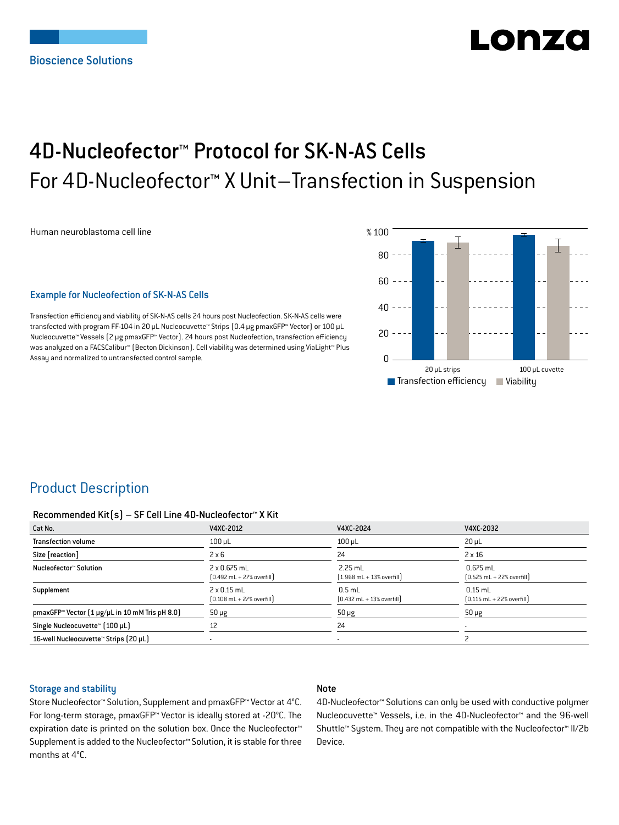# LONZ

## 4D-Nucleofector™ Protocol for SK-N-AS Cells For 4D-Nucleofector™ X Unit–Transfection in Suspension

Human neuroblastoma cell line

#### Example for Nucleofection of SK-N-AS Cells

Transfection efficiency and viability of SK-N-AS cells 24 hours post Nucleofection. SK-N-AS cells were transfected with program FF-104 in 20 μL Nucleocuvette™ Strips (0.4 μg pmaxGFP™ Vector) or 100 μL Nucleocuvette™ Vessels (2 μg pmaxGFP™ Vector). 24 hours post Nucleofection, transfection efficiency was analyzed on a FACSCalibur™ (Becton Dickinson). Cell viability was determined using ViaLight™ Plus Assay and normalized to untransfected control sample.



## Product Description

#### Recommended Kit(s) – SF Cell Line 4D-Nucleofector™ X Kit

| Cat No.                                                    | V4XC-2012                                                           | V4XC-2024                                                 | V4XC-2032                                                  |
|------------------------------------------------------------|---------------------------------------------------------------------|-----------------------------------------------------------|------------------------------------------------------------|
| <b>Transfection volume</b>                                 | $100$ $\mu$ L                                                       | $100$ $\mu$ L                                             | $20 \mu L$                                                 |
| Size [reaction]                                            | $2 \times 6$                                                        | 24                                                        | $2 \times 16$                                              |
| Nucleofector™ Solution                                     | $2 \times 0.675$ mL<br>$[0.492 \text{ mL} + 27\% \text{ overfill}]$ | $2.25$ mL<br>$[1.968 \text{ mL} + 13\% \text{ overfill}]$ | $0.675$ mL<br>$[0.525 \text{ mL} + 22\% \text{ overfill}]$ |
| Supplement                                                 | $2 \times 0.15$ mL<br>$[0.108 \text{ mL} + 27\% \text{ overfill}]$  | $0.5$ mL<br>$[0.432 \text{ mL} + 13\% \text{ overfill}]$  | $0.15$ mL<br>$[0.115 \text{ mL} + 22\% \text{ overfill}]$  |
| pmaxGFP <sup>™</sup> Vector (1 µg/µL in 10 mM Tris pH 8.0) | $50 \mu g$                                                          | $50 \mu g$                                                | $50 \mu g$                                                 |
| Single Nucleocuvette™ [100 µL]                             | 12                                                                  | 24                                                        |                                                            |
| 16-well Nucleocuvette™ Strips (20 µL)                      |                                                                     | $\overline{\phantom{a}}$                                  |                                                            |

#### Storage and stability

#### Note

Store Nucleofector™ Solution, Supplement and pmaxGFP™ Vector at 4°C. For long-term storage, pmaxGFP™ Vector is ideally stored at -20°C. The expiration date is printed on the solution box. Once the Nucleofector™ Supplement is added to the Nucleofector™ Solution, it is stable for three months at 4°C.

4D-Nucleofector™ Solutions can only be used with conductive polymer Nucleocuvette™ Vessels, i.e. in the 4D-Nucleofector™ and the 96-well Shuttle™ System. They are not compatible with the Nucleofector™ II/2b Device.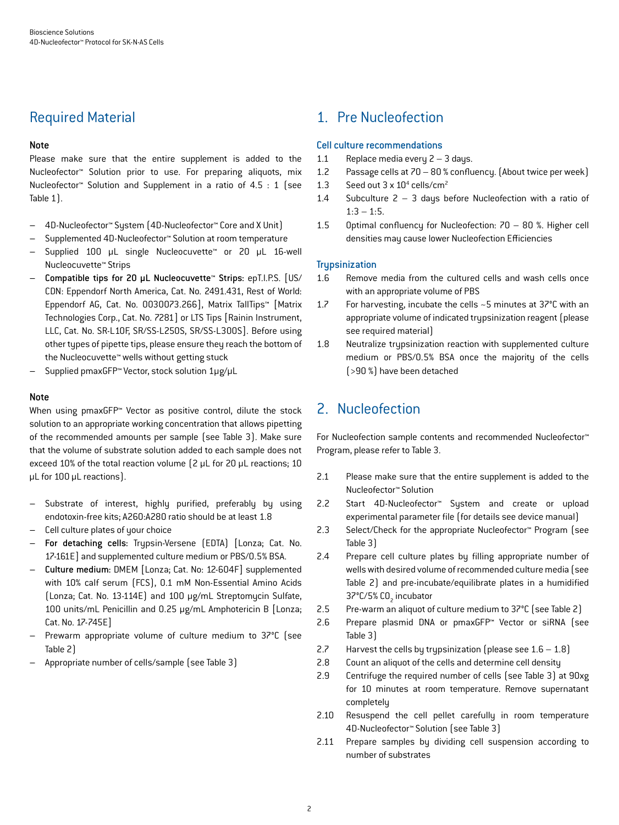## Required Material

#### Note

Please make sure that the entire supplement is added to the Nucleofector™ Solution prior to use. For preparing aliquots, mix Nucleofector™ Solution and Supplement in a ratio of 4.5 : 1 (see Table 1).

- 4D-Nucleofector™ System (4D-Nucleofector™ Core and X Unit)
- Supplemented 4D-Nucleofector™ Solution at room temperature
- Supplied 100 μL single Nucleocuvette™ or 20 μL 16-well Nucleocuvette™ Strips
- Compatible tips for 20 μL Nucleocuvette™ Strips: epT.I.P.S. [US/ CDN: Eppendorf North America, Cat. No. 2491.431, Rest of World: Eppendorf AG, Cat. No. 0030073.266], Matrix TallTips™ [Matrix Technologies Corp., Cat. No. 7281] or LTS Tips [Rainin Instrument, LLC, Cat. No. SR-L10F, SR/SS-L250S, SR/SS-L300S]. Before using other types of pipette tips, please ensure they reach the bottom of the Nucleocuvette™ wells without getting stuck
- Supplied pmaxGFP™ Vector, stock solution 1μg/μL

#### **Note**

When using pmaxGFP<sup>™</sup> Vector as positive control, dilute the stock solution to an appropriate working concentration that allows pipetting of the recommended amounts per sample (see Table 3). Make sure that the volume of substrate solution added to each sample does not exceed 10% of the total reaction volume (2 μL for 20 μL reactions; 10 μL for 100 μL reactions).

- Substrate of interest, highly purified, preferably by using endotoxin-free kits; A260:A280 ratio should be at least 1.8
- Cell culture plates of your choice
- For detaching cells: Trypsin-Versene (EDTA) [Lonza; Cat. No. 17-161E] and supplemented culture medium or PBS/0.5% BSA.
- Culture medium: DMEM [Lonza; Cat. No: 12-604F] supplemented with 10% calf serum (FCS), 0.1 mM Non-Essential Amino Acids (Lonza; Cat. No. 13-114E) and 100 μg/mL Streptomycin Sulfate, 100 units/mL Penicillin and 0.25 μg/mL Amphotericin B [Lonza; Cat. No. 17-745E]
- Prewarm appropriate volume of culture medium to 37°C (see Table 2)
- Appropriate number of cells/sample (see Table 3)

## 1. Pre Nucleofection

#### Cell culture recommendations

- 1.1 Replace media every  $2 3$  days.
- 1.2 Passage cells at 70 80 % confluency. (About twice per week)
- 1.3 Seed out  $3 \times 10^4$  cells/cm<sup>2</sup>
- 1.4 Subculture 2 3 days before Nucleofection with a ratio of  $1:3 - 1:5$ .
- 1.5 Optimal confluency for Nucleofection: 70 80 %. Higher cell densities may cause lower Nucleofection Efficiencies

#### **Trupsinization**

- 1.6 Remove media from the cultured cells and wash cells once with an appropriate volume of PBS
- 1.7 For harvesting, incubate the cells ~5 minutes at 37°C with an appropriate volume of indicated trypsinization reagent (please see required material)
- 1.8 Neutralize trypsinization reaction with supplemented culture medium or PBS/0.5% BSA once the majority of the cells (>90 %) have been detached

## 2. Nucleofection

For Nucleofection sample contents and recommended Nucleofector™ Program, please refer to Table 3.

- 2.1 Please make sure that the entire supplement is added to the Nucleofector™ Solution
- 2.2 Start 4D-Nucleofector™ System and create or upload experimental parameter file (for details see device manual)
- 2.3 Select/Check for the appropriate Nucleofector™ Program (see Table 3)
- 2.4 Prepare cell culture plates by filling appropriate number of wells with desired volume of recommended culture media (see Table 2) and pre-incubate/equilibrate plates in a humidified 37°C/5% CO<sub>2</sub> incubator
- 2.5 Pre-warm an aliquot of culture medium to 37°C (see Table 2)
- 2.6 Prepare plasmid DNA or pmaxGFP™ Vector or siRNA (see Table 3)
- 2.7 Harvest the cells by trypsinization (please see  $1.6 1.8$ )
- 2.8 Count an aliquot of the cells and determine cell density
- 2.9 Centrifuge the required number of cells (see Table 3) at 90xg for 10 minutes at room temperature. Remove supernatant completely
- 2.10 Resuspend the cell pellet carefully in room temperature 4D-Nucleofector™ Solution (see Table 3)
- 2.11 Prepare samples by dividing cell suspension according to number of substrates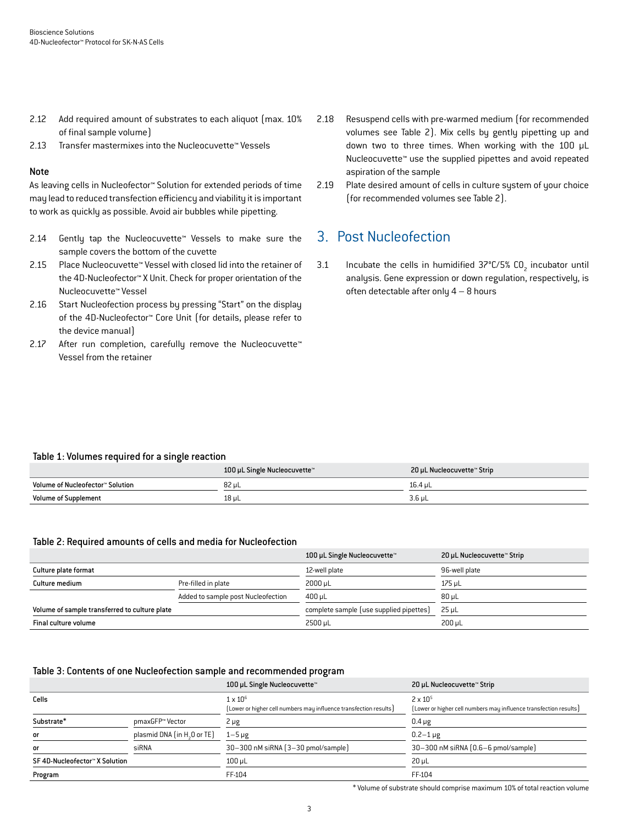- 2.12 Add required amount of substrates to each aliquot (max. 10% of final sample volume)
- 2.13 Transfer mastermixes into the Nucleocuvette™ Vessels

#### Note

As leaving cells in Nucleofector™ Solution for extended periods of time may lead to reduced transfection efficiency and viability it is important to work as quickly as possible. Avoid air bubbles while pipetting.

- 2.14 Gently tap the Nucleocuvette™ Vessels to make sure the sample covers the bottom of the cuvette
- 2.15 Place Nucleocuvette™ Vessel with closed lid into the retainer of the 4D-Nucleofector™ X Unit. Check for proper orientation of the Nucleocuvette™ Vessel
- 2.16 Start Nucleofection process by pressing "Start" on the display of the 4D-Nucleofector™ Core Unit (for details, please refer to the device manual)
- 2.17 After run completion, carefully remove the Nucleocuvette™ Vessel from the retainer
- 2.18 Resuspend cells with pre-warmed medium (for recommended volumes see Table 2). Mix cells by gently pipetting up and down two to three times. When working with the 100 μL Nucleocuvette™ use the supplied pipettes and avoid repeated aspiration of the sample
- 2.19 Plate desired amount of cells in culture system of your choice (for recommended volumes see Table 2).

## 3. Post Nucleofection

3.1 Incubate the cells in humidified  $37^{\circ}$ C/5% CO<sub>2</sub> incubator until analysis. Gene expression or down regulation, respectively, is often detectable after only  $4 - 8$  hours

#### Table 1: Volumes required for a single reaction

|                                  | 100 µL Single Nucleocuvette™ | 20 µL Nucleocuvette™ Strip |
|----------------------------------|------------------------------|----------------------------|
| Volume of Nucleofector™ Solution | 82 µL                        | 16.4 uL                    |
| <b>Volume of Supplement</b>      | $18 \mu L$                   | 3.6 µL                     |

#### Table 2: Required amounts of cells and media for Nucleofection

|                                               |                                    | 100 µL Single Nucleocuvette™            | 20 µL Nucleocuvette™ Strip |
|-----------------------------------------------|------------------------------------|-----------------------------------------|----------------------------|
| Culture plate format                          |                                    | 12-well plate                           | 96-well plate              |
| Culture medium                                | Pre-filled in plate                | 2000 uL                                 | 175 uL                     |
|                                               | Added to sample post Nucleofection | 400 uL                                  | 80 uL                      |
| Volume of sample transferred to culture plate |                                    | complete sample (use supplied pipettes) | 25 uL                      |
| Final culture volume                          |                                    | $2500 \mu L$                            | $200 \mu L$                |

#### Table 3: Contents of one Nucleofection sample and recommended program

|                                |                                         | 100 µL Single Nucleocuvette™                                                         | 20 µL Nucleocuvette™ Strip                                                             |
|--------------------------------|-----------------------------------------|--------------------------------------------------------------------------------------|----------------------------------------------------------------------------------------|
| Cells                          |                                         | $1 \times 10^6$<br>(Lower or higher cell numbers may influence transfection results) | $2 \times 10^{5}$<br>[Lower or higher cell numbers may influence transfection results] |
| Substrate*                     | pmaxGFP™ Vector                         | 2 µg                                                                                 | $0.4 \mu g$                                                                            |
| or                             | plasmid DNA (in H <sub>2</sub> O or TE) | $1-5 \mu g$                                                                          | $0.2 - 1 \mu g$                                                                        |
| or                             | siRNA                                   | 30-300 nM siRNA (3-30 pmol/sample)                                                   | 30-300 nM siRNA (0.6-6 pmol/sample)                                                    |
| SF 4D-Nucleofector™ X Solution |                                         | $100$ $\mu$ L                                                                        | $20 \mu L$                                                                             |
| Program                        |                                         | FF-104                                                                               | FF-104                                                                                 |

\* Volume of substrate should comprise maximum 10% of total reaction volume